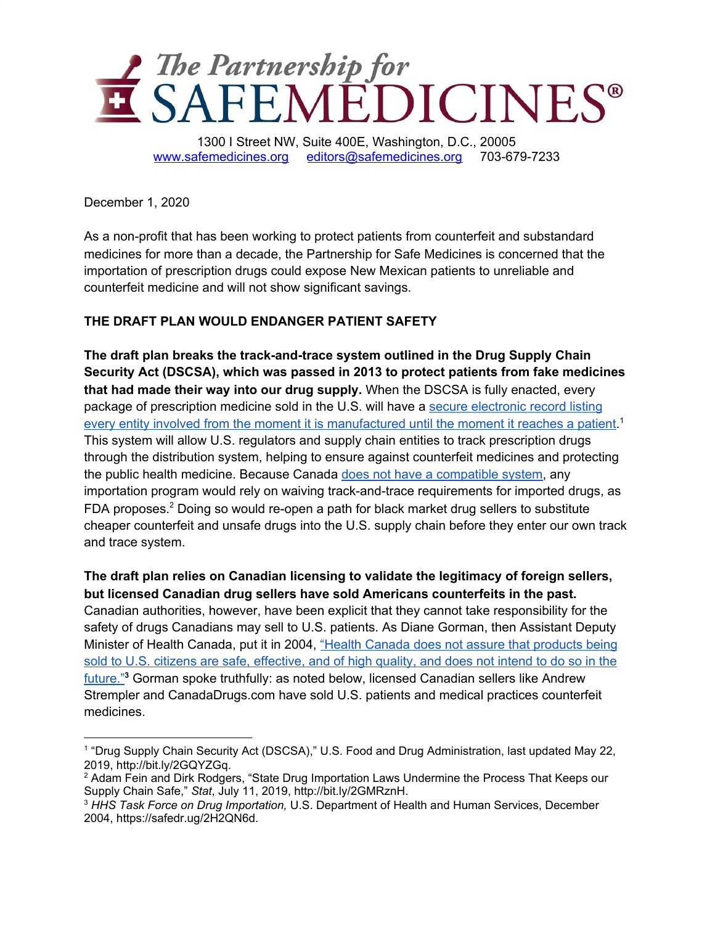

December 1, 2020

As a non-profit that has been working to protect patients from counterfeit and substandard medicines for more than a decade, the Partnership for Safe Medicines is concerned that the importation of prescription drugs could expose New Mexican patients to unreliable and counterfeit medicine and will not show significant savings.

## **THE DRAFT PLAN WOULD ENDANGER PATIENT SAFETY**

**The draft plan breaks the track-and-trace system outlined in the Drug Supply Chain Security Act (DSCSA), which was passed in 2013 to protect patients from fake medicines that had made their way into our drug supply.** When the DSCSA is fully enacted, every package of prescription medicine sold in the U.S. will have a secure [electronic](https://www.fda.gov/drugs/drug-supply-chain-integrity/drug-supply-chain-security-act-dscsa) record listing every entity involved from the moment it is [manufactured](https://www.fda.gov/drugs/drug-supply-chain-integrity/drug-supply-chain-security-act-dscsa) until the moment it reaches a patient.<sup>1</sup> This system will allow U.S. regulators and supply chain entities to track prescription drugs through the distribution system, helping to ensure against counterfeit medicines and protecting the public health medicine. Because Canada does not have a [compatible](https://www.statnews.com/2019/07/11/state-drug-importation-laws-undermine-supply-chain-safety/) system, any importation program would rely on waiving track-and-trace requirements for imported drugs, as FDA proposes.<sup>2</sup> Doing so would re-open a path for black market drug sellers to substitute cheaper counterfeit and unsafe drugs into the U.S. supply chain before they enter our own track and trace system.

**The draft plan relies on Canadian licensing to validate the legitimacy of foreign sellers, but licensed Canadian drug sellers have sold Americans counterfeits in the past.** Canadian authorities, however, have been explicit that they cannot take responsibility for the safety of drugs Canadians may sell to U.S. patients. As Diane Gorman, then Assistant Deputy Minister of Health Canada, put it in 2004, "Health Canada does not assure that [products](http://www.safemedicines.org/wp-content/uploads/2018/03/HHS-Report1220.pdf) being sold to U.S. citizens are safe, [effective,](http://www.safemedicines.org/wp-content/uploads/2018/03/HHS-Report1220.pdf) and of high quality, and does not intend to do so in the [future."](http://www.safemedicines.org/wp-content/uploads/2018/03/HHS-Report1220.pdf) **<sup>3</sup>** Gorman spoke truthfully: as noted below, licensed Canadian sellers like Andrew Strempler and CanadaDrugs.com have sold U.S. patients and medical practices counterfeit medicines.

<sup>&</sup>lt;sup>1</sup> "Drug Supply Chain Security Act (DSCSA)," U.S. Food and Drug Administration, last updated May 22, 2019, http://bit.ly/2GQYZGq.

<sup>&</sup>lt;sup>2</sup> Adam Fein and Dirk Rodgers, "State Drug Importation Laws Undermine the Process That Keeps our Supply Chain Safe," *Stat*, July 11, 2019, http://bit.ly/2GMRznH.

<sup>3</sup> *HHS Task Force on Drug Importation,* U.S. Department of Health and Human Services, December 2004, https://safedr.ug/2H2QN6d.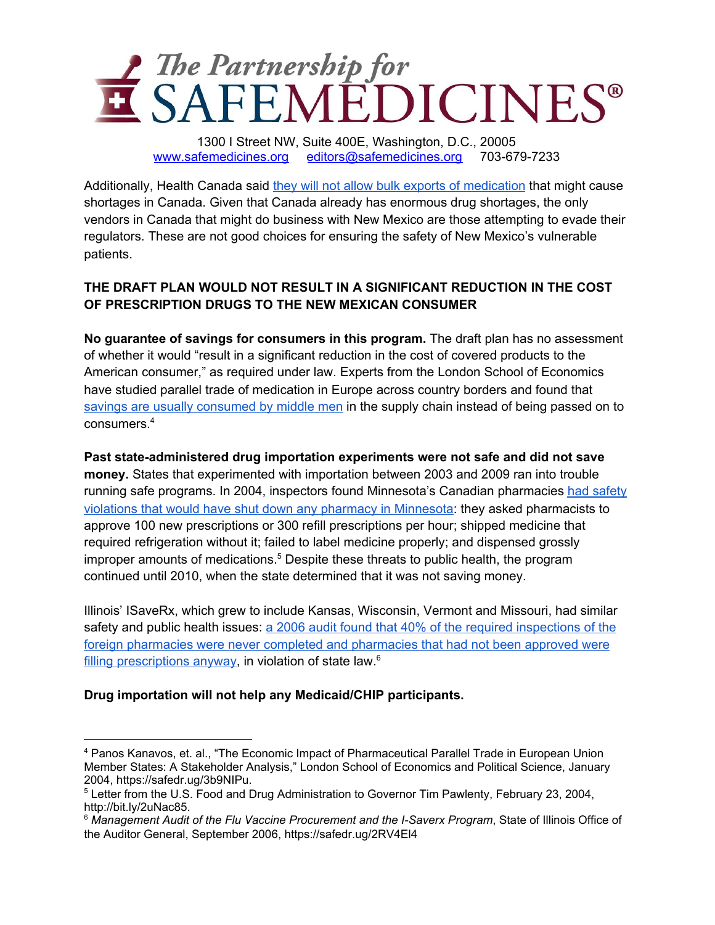

Additionally, Health Canada said they will not allow bulk exports of [medication](https://www.bbc.com/news/world-us-canada-55119428) that might cause shortages in Canada. Given that Canada already has enormous drug shortages, the only vendors in Canada that might do business with New Mexico are those attempting to evade their regulators. These are not good choices for ensuring the safety of New Mexico's vulnerable patients.

## **THE DRAFT PLAN WOULD NOT RESULT IN A SIGNIFICANT REDUCTION IN THE COST OF PRESCRIPTION DRUGS TO THE NEW MEXICAN CONSUMER**

**No guarantee of savings for consumers in this program.** The draft plan has no assessment of whether it would "result in a significant reduction in the cost of covered products to the American consumer," as required under law. Experts from the London School of Economics have studied parallel trade of medication in Europe across country borders and found that savings are usually [consumed](http://www.lse.ac.uk/business-and-consultancy/consulting/assets/documents/the-economic-impact-of-pharmaceutical-parallel-trade-in-european-union-member-states.pdf) by middle men in the supply chain instead of being passed on to consumers. 4

**Past state-administered drug importation experiments were not safe and did not save money.** States that experimented with importation between 2003 and 2009 ran into trouble running safe programs. In 2004, inspectors found Minnesota's Canadian pharmacies had [safety](https://web.archive.org/web/20040603013643/http://www.fda.gov/oc/opacom/hottopics/importdrugs/pawlenty022304.html) violations that would have shut down any pharmacy in [Minnesota](https://web.archive.org/web/20040603013643/http://www.fda.gov/oc/opacom/hottopics/importdrugs/pawlenty022304.html): they asked pharmacists to approve 100 new prescriptions or 300 refill prescriptions per hour; shipped medicine that required refrigeration without it; failed to label medicine properly; and dispensed grossly improper amounts of medications. <sup>5</sup> Despite these threats to public health, the program continued until 2010, when the state determined that it was not saving money.

Illinois' ISaveRx, which grew to include Kansas, Wisconsin, Vermont and Missouri, had similar safety and public health issues: a 2006 audit found that 40% of the required [inspections](http://www.safemedicines.org/wp-content/uploads/2015/11/FY06-Flu-Vaccine-ISaveRX-MGMT-digest.pdf) of the foreign pharmacies were never completed and [pharmacies](http://www.safemedicines.org/wp-content/uploads/2015/11/FY06-Flu-Vaccine-ISaveRX-MGMT-digest.pdf) that had not been approved were filling [prescriptions](http://www.safemedicines.org/wp-content/uploads/2015/11/FY06-Flu-Vaccine-ISaveRX-MGMT-digest.pdf) anyway, in violation of state law.<sup>6</sup>

### **Drug importation will not help any Medicaid/CHIP participants.**

<sup>4</sup> Panos Kanavos, et. al., "The Economic Impact of Pharmaceutical Parallel Trade in European Union Member States: A Stakeholder Analysis," London School of Economics and Political Science, January 2004, https://safedr.ug/3b9NIPu.

<sup>5</sup> Letter from the U.S. Food and Drug Administration to Governor Tim Pawlenty, February 23, 2004, http://bit.ly/2uNac85.

<sup>6</sup> *Management Audit of the Flu Vaccine Procurement and the I-Saverx Program*, State of Illinois Office of the Auditor General, September 2006, https://safedr.ug/2RV4El4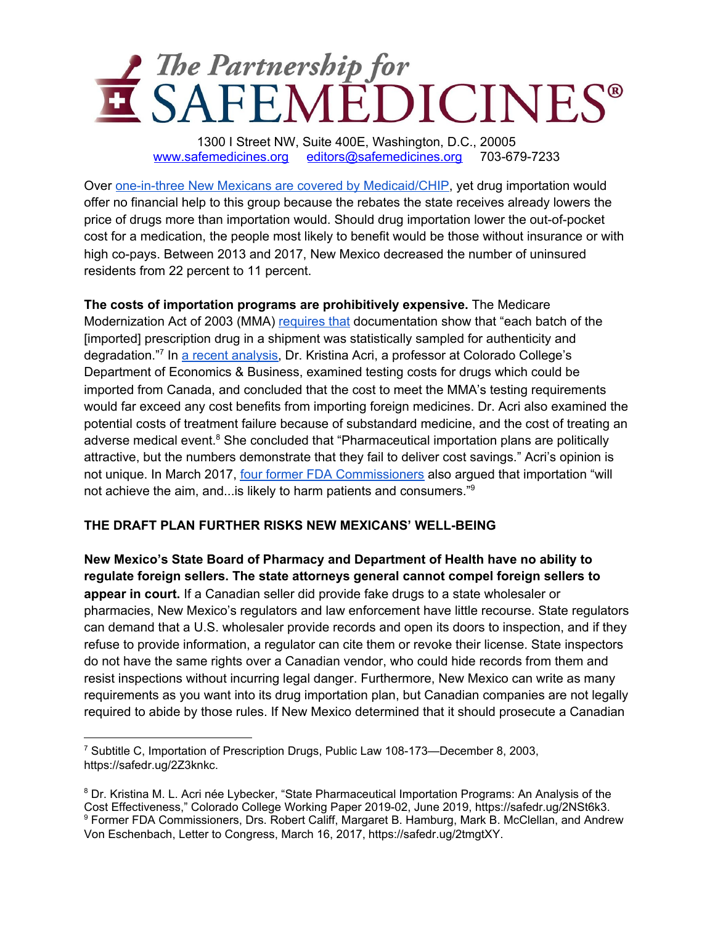

Over one-in-three New Mexicans are covered by [Medicaid/CHIP,](http://files.kff.org/attachment/fact-sheet-medicaid-state-NM) yet drug importation would offer no financial help to this group because the rebates the state receives already lowers the price of drugs more than importation would. Should drug importation lower the out-of-pocket cost for a medication, the people most likely to benefit would be those without insurance or with high co-pays. Between 2013 and 2017, New Mexico decreased the number of uninsured residents from 22 percent to 11 percent.

**The costs of importation programs are prohibitively expensive.** The Medicare Modernization Act of 2003 (MMA) [requires](http://www.safemedicines.org/wp-content/uploads/2019/12/2003-MMA-importation-only.pdf) that documentation show that "each batch of the [imported] prescription drug in a shipment was statistically sampled for authenticity and degradation."<sup>7</sup> In a recent [analysis](http://www.safemedicines.org/wp-content/uploads/2019/08/SSRN-id3402784.pdf), Dr. Kristina Acri, a professor at Colorado College's Department of Economics & Business, examined testing costs for drugs which could be imported from Canada, and concluded that the cost to meet the MMA's testing requirements would far exceed any cost benefits from importing foreign medicines. Dr. Acri also examined the potential costs of treatment failure because of substandard medicine, and the cost of treating an adverse medical event.<sup>8</sup> She concluded that "Pharmaceutical importation plans are politically attractive, but the numbers demonstrate that they fail to deliver cost savings." Acri's opinion is not unique. In March 2017, four former FDA [Commissioners](http://www.safemedicines.org/wp-content/uploads/2017_03_16_commissioners_letter_final.pdf) also argued that importation "will not achieve the aim, and...is likely to harm patients and consumers."<sup>9</sup>

### **THE DRAFT PLAN FURTHER RISKS NEW MEXICANS' WELL-BEING**

**New Mexico's State Board of Pharmacy and Department of Health have no ability to regulate foreign sellers. The state attorneys general cannot compel foreign sellers to appear in court.** If a Canadian seller did provide fake drugs to a state wholesaler or pharmacies, New Mexico's regulators and law enforcement have little recourse. State regulators can demand that a U.S. wholesaler provide records and open its doors to inspection, and if they refuse to provide information, a regulator can cite them or revoke their license. State inspectors do not have the same rights over a Canadian vendor, who could hide records from them and resist inspections without incurring legal danger. Furthermore, New Mexico can write as many requirements as you want into its drug importation plan, but Canadian companies are not legally required to abide by those rules. If New Mexico determined that it should prosecute a Canadian

<sup>7</sup> Subtitle C, Importation of Prescription Drugs, Public Law 108-173—December 8, 2003, https://safedr.ug/2Z3knkc.

<sup>8</sup> Dr. Kristina M. L. Acri née Lybecker, "State Pharmaceutical Importation Programs: An Analysis of the Cost Effectiveness," Colorado College Working Paper 2019-02, June 2019, https://safedr.ug/2NSt6k3. <sup>9</sup> Former FDA Commissioners, Drs. Robert Califf, Margaret B. Hamburg, Mark B. McClellan, and Andrew Von Eschenbach, Letter to Congress, March 16, 2017, https://safedr.ug/2tmgtXY.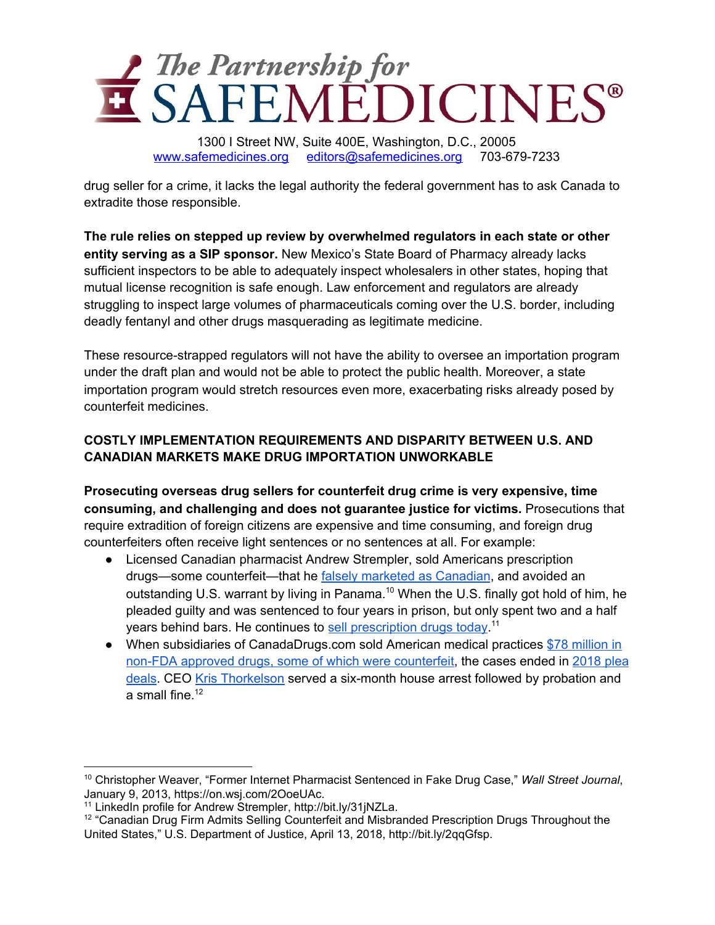

drug seller for a crime, it lacks the legal authority the federal government has to ask Canada to extradite those responsible.

**The rule relies on stepped up review by overwhelmed regulators in each state or other entity serving as a SIP sponsor.** New Mexico's State Board of Pharmacy already lacks sufficient inspectors to be able to adequately inspect wholesalers in other states, hoping that mutual license recognition is safe enough. Law enforcement and regulators are already struggling to inspect large volumes of pharmaceuticals coming over the U.S. border, including deadly fentanyl and other drugs masquerading as legitimate medicine.

These resource-strapped regulators will not have the ability to oversee an importation program under the draft plan and would not be able to protect the public health. Moreover, a state importation program would stretch resources even more, exacerbating risks already posed by counterfeit medicines.

## **COSTLY IMPLEMENTATION REQUIREMENTS AND DISPARITY BETWEEN U.S. AND CANADIAN MARKETS MAKE DRUG IMPORTATION UNWORKABLE**

**Prosecuting overseas drug sellers for counterfeit drug crime is very expensive, time consuming, and challenging and does not guarantee justice for victims.** Prosecutions that require extradition of foreign citizens are expensive and time consuming, and foreign drug counterfeiters often receive light sentences or no sentences at all. For example:

- Licensed Canadian pharmacist Andrew Strempler, sold Americans prescription drugs—some counterfeit—that he falsely marketed as [Canadian](https://www.wsj.com/articles/SB10001424127887324442304578232133556180830), and avoided an outstanding U.S. warrant by living in Panama.<sup>10</sup> When the U.S. finally got hold of him, he pleaded guilty and was sentenced to four years in prison, but only spent two and a half years behind bars. He continues to sell [prescription](http://www.linkedin.com/in/andrew-strempler-0674337/) drugs today.<sup>11</sup>
- When subsidiaries of CanadaDrugs.com sold American medical practices \$78 [million](https://www.justice.gov/usao-mt/pr/canadian-drug-firm-admits-selling-counterfeit-and-misbranded-prescription-drugs) in non-FDA approved drugs, some of which were [counterfeit](https://www.justice.gov/usao-mt/pr/canadian-drug-firm-admits-selling-counterfeit-and-misbranded-prescription-drugs), the cases ended in [2018](https://www.justice.gov/usao-mt/pr/canadian-drug-firm-admits-selling-counterfeit-and-misbranded-prescription-drugs) plea [deals](https://www.justice.gov/usao-mt/pr/canadian-drug-firm-admits-selling-counterfeit-and-misbranded-prescription-drugs). CEO Kris [Thorkelson](https://www.justice.gov/usao-mt/pr/canadian-drug-firm-admits-selling-counterfeit-and-misbranded-prescription-drugs) served a six-month house arrest followed by probation and a small fine.<sup>12</sup>

<sup>10</sup> Christopher Weaver, "Former Internet Pharmacist Sentenced in Fake Drug Case," *Wall Street Journal*, January 9, 2013, https://on.wsj.com/2OoeUAc.

<sup>11</sup> LinkedIn profile for Andrew Strempler, http://bit.ly/31jNZLa.

<sup>&</sup>lt;sup>12</sup> "Canadian Drug Firm Admits Selling Counterfeit and Misbranded Prescription Drugs Throughout the United States," U.S. Department of Justice, April 13, 2018, http://bit.ly/2qqGfsp.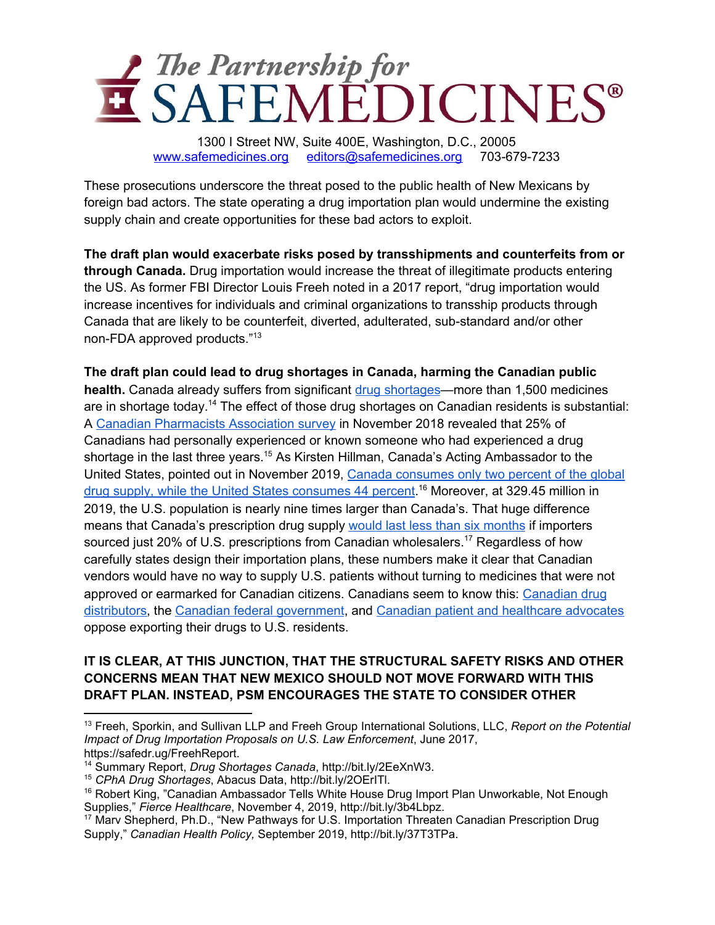

These prosecutions underscore the threat posed to the public health of New Mexicans by foreign bad actors. The state operating a drug importation plan would undermine the existing supply chain and create opportunities for these bad actors to exploit.

**The draft plan would exacerbate risks posed by transshipments and counterfeits from or through Canada.** Drug importation would increase the threat of illegitimate products entering the US. As former FBI Director Louis Freeh noted in a 2017 report, "drug importation would increase incentives for individuals and criminal organizations to transship products through Canada that are likely to be counterfeit, diverted, adulterated, sub-standard and/or other non-FDA approved products." 13

**The draft plan could lead to drug shortages in Canada, harming the Canadian public health.** Canada already suffers from significant drug [shortages](https://www.drugshortagescanada.ca/rws-search?perform=1)—more than 1,500 medicines are in shortage today.<sup>14</sup> The effect of those drug shortages on Canadian residents is substantial: A Canadian [Pharmacists](http://www.pharmacists.ca/cpha-ca/assets/File/cpha-on-the-issues/DrugShortages_AbacusSurvey_November2018.pdf) Association survey in November 2018 revealed that 25% of Canadians had personally experienced or known someone who had experienced a drug shortage in the last three years.<sup>15</sup> As Kirsten Hillman, Canada's Acting Ambassador to the United States, pointed out in November 2019, Canada [consumes](https://www.fiercehealthcare.com/payer/canadian-ambassador-tells-white-house-drug-import-plan-unworkable-not-enough-supplies) only two percent of the global drug supply, while the United States [consumes](https://www.fiercehealthcare.com/payer/canadian-ambassador-tells-white-house-drug-import-plan-unworkable-not-enough-supplies) 44 percent.<sup>16</sup> Moreover, at 329.45 million in 2019, the U.S. population is nearly nine times larger than Canada's. That huge difference means that Canada's prescription drug supply would last less than six [months](https://www.safemedicines.org/wp-content/uploads/2019/09/CHPI-Drug-Importation-Published-Article-Shepherd-SEPT2019-EN-2.pdf) if importers sourced just 20% of U.S. prescriptions from Canadian wholesalers.<sup>17</sup> Regardless of how carefully states design their importation plans, these numbers make it clear that Canadian vendors would have no way to supply U.S. patients without turning to medicines that were not approved or earmarked for Canadian citizens. Canadians seem to know this: [Canadian](https://www.reuters.com/article/us-usa-healthcare-canada-idUSKBN1YO24O) drug [distributors,](https://www.reuters.com/article/us-usa-healthcare-canada-idUSKBN1YO24O) the Canadian federal [government](https://globalnews.ca/news/6312986/us-drugs-canada-imports/), and Canadian patient and [healthcare](https://www.safemedicines.org/wp-content/uploads/2019/07/Health-Canada-Stakeholder-Letter_Importation.Minister.FINAL072519.pdf) advocates oppose exporting their drugs to U.S. residents.

## **IT IS CLEAR, AT THIS JUNCTION, THAT THE STRUCTURAL SAFETY RISKS AND OTHER CONCERNS MEAN THAT NEW MEXICO SHOULD NOT MOVE FORWARD WITH THIS DRAFT PLAN. INSTEAD, PSM ENCOURAGES THE STATE TO CONSIDER OTHER**

<sup>13</sup> Freeh, Sporkin, and Sullivan LLP and Freeh Group International Solutions, LLC, *Report on the Potential Impact of Drug Importation Proposals on U.S. Law Enforcement*, June 2017, https://safedr.ug/FreehReport.

<sup>14</sup> Summary Report, *Drug Shortages Canada*, http://bit.ly/2EeXnW3.

<sup>15</sup> *CPhA Drug Shortages*, Abacus Data, http://bit.ly/2OErITl.

<sup>&</sup>lt;sup>16</sup> Robert King, "Canadian Ambassador Tells White House Drug Import Plan Unworkable, Not Enough Supplies," *Fierce Healthcare*, November 4, 2019, http://bit.ly/3b4Lbpz.

<sup>&</sup>lt;sup>17</sup> Marv Shepherd, Ph.D., "New Pathways for U.S. Importation Threaten Canadian Prescription Drug Supply," *Canadian Health Policy,* September 2019, http://bit.ly/37T3TPa.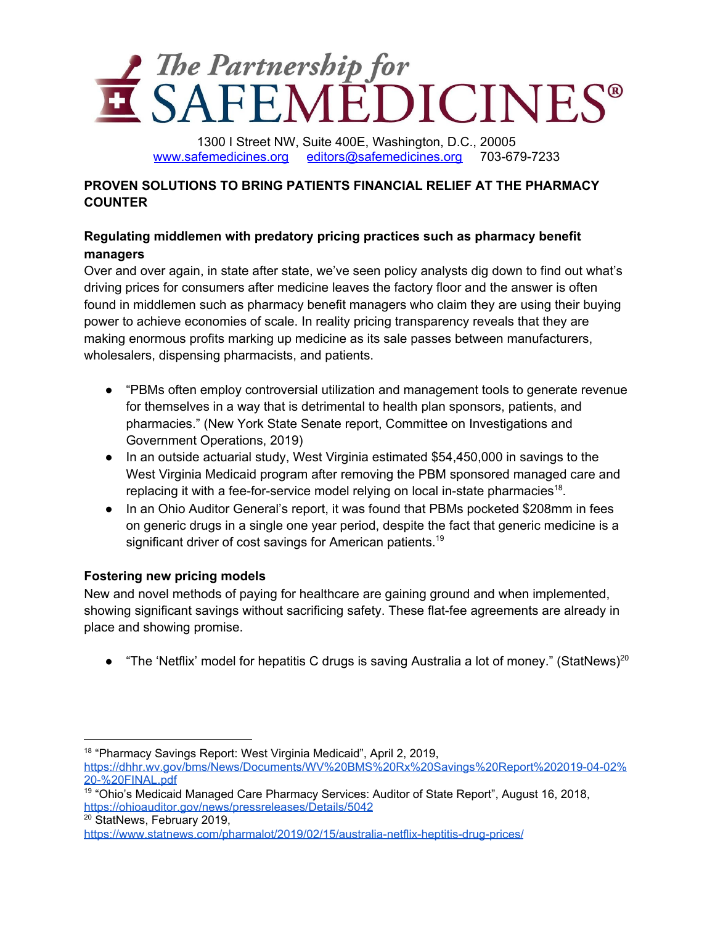# The Partnership for<br>SAFEMEDICINES<sup>®</sup>

1300 I Street NW, Suite 400E, Washington, D.C., 20005 [www.safemedicines.org](http://www.safemedicines.org/) [editors@safemedicines.org](mailto:editors@safemedicines.org) 703-679-7233

## **PROVEN SOLUTIONS TO BRING PATIENTS FINANCIAL RELIEF AT THE PHARMACY COUNTER**

# **Regulating middlemen with predatory pricing practices such as pharmacy benefit managers**

Over and over again, in state after state, we've seen policy analysts dig down to find out what's driving prices for consumers after medicine leaves the factory floor and the answer is often found in middlemen such as pharmacy benefit managers who claim they are using their buying power to achieve economies of scale. In reality pricing transparency reveals that they are making enormous profits marking up medicine as its sale passes between manufacturers, wholesalers, dispensing pharmacists, and patients.

- "PBMs often employ controversial utilization and management tools to generate revenue for themselves in a way that is detrimental to health plan sponsors, patients, and pharmacies." (New York State Senate report, Committee on Investigations and Government Operations, 2019)
- In an outside actuarial study, West Virginia estimated \$54,450,000 in savings to the West Virginia Medicaid program after removing the PBM sponsored managed care and replacing it with a fee-for-service model relying on local in-state pharmacies<sup>18</sup>.
- In an Ohio Auditor General's report, it was found that PBMs pocketed \$208mm in fees on generic drugs in a single one year period, despite the fact that generic medicine is a significant driver of cost savings for American patients.<sup>19</sup>

## **Fostering new pricing models**

New and novel methods of paying for healthcare are gaining ground and when implemented, showing significant savings without sacrificing safety. These flat-fee agreements are already in place and showing promise.

• "The 'Netflix' model for hepatitis C drugs is saving Australia a lot of money." (StatNews)<sup>20</sup>

<sup>20</sup> StatNews, February 2019,

<sup>&</sup>lt;sup>18</sup> "Pharmacy Savings Report: West Virginia Medicaid", April 2, 2019, [https://dhhr.wv.gov/bms/News/Documents/WV%20BMS%20Rx%20Savings%20Report%202019-04-02%](https://dhhr.wv.gov/bms/News/Documents/WV%20BMS%20Rx%20Savings%20Report%202019-04-02%20-%20FINAL.pdf) [20-%20FINAL.pdf](https://dhhr.wv.gov/bms/News/Documents/WV%20BMS%20Rx%20Savings%20Report%202019-04-02%20-%20FINAL.pdf)

<sup>&</sup>lt;sup>19</sup> "Ohio's Medicaid Managed Care Pharmacy Services: Auditor of State Report", August 16, 2018, <https://ohioauditor.gov/news/pressreleases/Details/5042>

<https://www.statnews.com/pharmalot/2019/02/15/australia-netflix-heptitis-drug-prices/>